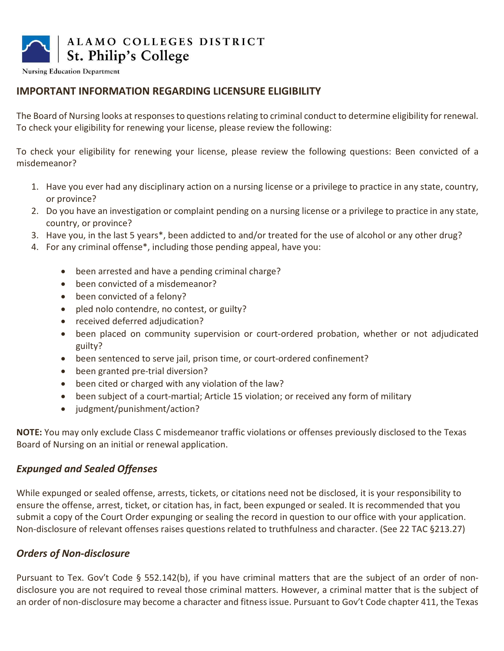

**Nursing Education Department** 

# IMPORTANT INFORMATION REGARDING LICENSURE ELIGIBILITY

The Board of Nursing looks at responses to questions relating to criminal conduct to determine eligibility for renewal. To check your eligibility for renewing your license, please review the following:

To check your eligibility for renewing your license, please review the following questions: Been convicted of a misdemeanor?

- 1. Have you ever had any disciplinary action on a nursing license or a privilege to practice in any state, country, or province?
- 2. Do you have an investigation or complaint pending on a nursing license or a privilege to practice in any state, country, or province?
- 3. Have you, in the last 5 years\*, been addicted to and/or treated for the use of alcohol or any other drug?
- 4. For any criminal offense\*, including those pending appeal, have you:
	- been arrested and have a pending criminal charge?
	- been convicted of a misdemeanor?
	- been convicted of a felony?
	- pled nolo contendre, no contest, or guilty?
	- received deferred adjudication?
	- been placed on community supervision or court-ordered probation, whether or not adjudicated guilty?
	- been sentenced to serve jail, prison time, or court-ordered confinement?
	- been granted pre-trial diversion?
	- been cited or charged with any violation of the law?
	- been subject of a court-martial; Article 15 violation; or received any form of military
	- judgment/punishment/action?

NOTE: You may only exclude Class C misdemeanor traffic violations or offenses previously disclosed to the Texas Board of Nursing on an initial or renewal application.

# Expunged and Sealed Offenses

While expunged or sealed offense, arrests, tickets, or citations need not be disclosed, it is your responsibility to ensure the offense, arrest, ticket, or citation has, in fact, been expunged or sealed. It is recommended that you submit a copy of the Court Order expunging or sealing the record in question to our office with your application. Non-disclosure of relevant offenses raises questions related to truthfulness and character. (See 22 TAC §213.27)

# Orders of Non-disclosure

Pursuant to Tex. Gov't Code § 552.142(b), if you have criminal matters that are the subject of an order of nondisclosure you are not required to reveal those criminal matters. However, a criminal matter that is the subject of an order of non-disclosure may become a character and fitness issue. Pursuant to Gov't Code chapter 411, the Texas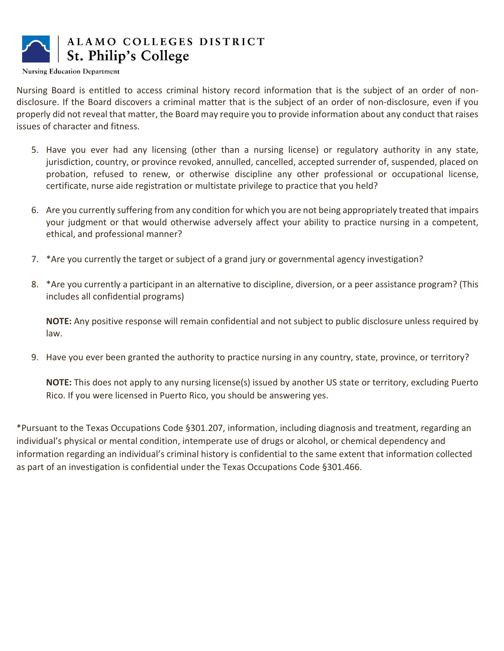

**Nursing Education Department** 

Nursing Board is entitled to access criminal history record information that is the subject of an order of nondisclosure. If the Board discovers a criminal matter that is the subject of an order of non-disclosure, even if you properly did not reveal that matter, the Board may require you to provide information about any conduct that raises issues of character and fitness.

- 5. Have you ever had any licensing (other than a nursing license) or regulatory authority in any state, jurisdiction, country, or province revoked, annulled, cancelled, accepted surrender of, suspended, placed on probation, refused to renew, or otherwise discipline any other professional or occupational license, certificate, nurse aide registration or multistate privilege to practice that you held?
- 6. Are you currently suffering from any condition for which you are not being appropriately treated that impairs your judgment or that would otherwise adversely affect your ability to practice nursing in a competent, ethical, and professional manner?
- 7. \*Are you currently the target or subject of a grand jury or governmental agency investigation?
- 8. \*Are you currently a participant in an alternative to discipline, diversion, or a peer assistance program? (This includes all confidential programs)

NOTE: Any positive response will remain confidential and not subject to public disclosure unless required by law.

9. Have you ever been granted the authority to practice nursing in any country, state, province, or territory?

NOTE: This does not apply to any nursing license(s) issued by another US state or territory, excluding Puerto Rico. If you were licensed in Puerto Rico, you should be answering yes.

\*Pursuant to the Texas Occupations Code §301.207, information, including diagnosis and treatment, regarding an individual's physical or mental condition, intemperate use of drugs or alcohol, or chemical dependency and information regarding an individual's criminal history is confidential to the same extent that information collected as part of an investigation is confidential under the Texas Occupations Code §301.466.